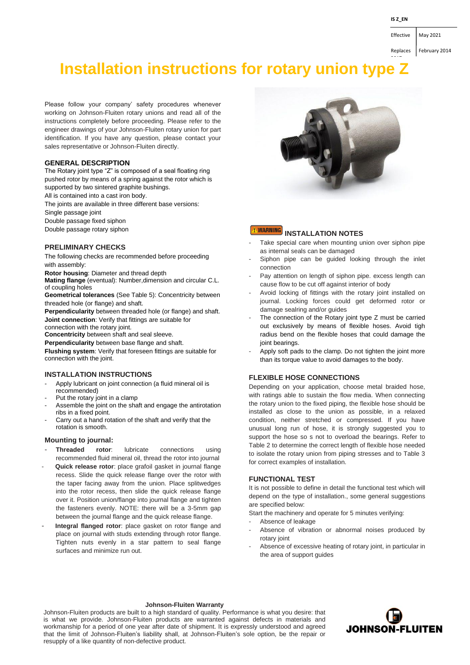Replaces | February 2014

Effective May 2021

# **Installation instructions for rotary union type Z**

Please follow your company' safety procedures whenever working on Johnson-Fluiten rotary unions and read all of the instructions completely before proceeding. Please refer to the engineer drawings of your Johnson-Fluiten rotary union for part identification. If you have any question, please contact your sales representative or Johnson-Fluiten directly.

# **GENERAL DESCRIPTION**

The Rotary joint type "Z" is composed of a seal floating ring pushed rotor by means of a spring against the rotor which is supported by two sintered graphite bushings.

All is contained into a cast iron body.

The joints are available in three different base versions:

Single passage joint

Double passage fixed siphon

Double passage rotary siphon

# **PRELIMINARY CHECKS**

The following checks are recommended before proceeding with assembly:

**Rotor housing**: Diameter and thread depth

**Mating flange** (eventual): Number,dimension and circular C.L. of coupling holes

**Geometrical tolerances** (See Table 5): Concentricity between threaded hole (or flange) and shaft.

**Perpendicularity** between threaded hole (or flange) and shaft. **Joint connection**: Verify that fittings are suitable for connection with the rotary joint.

**Concentricity** between shaft and seal sleeve.

**Perpendicularity** between base flange and shaft.

**Flushing system**: Verify that foreseen fittings are suitable for connection with the joint.

# **INSTALLATION INSTRUCTIONS**

- Apply lubricant on joint connection (a fluid mineral oil is recommended)
- Put the rotary joint in a clamp
- Assemble the joint on the shaft and engage the antirotation ribs in a fixed point.
- Carry out a hand rotation of the shaft and verify that the rotation is smooth.

# **Mounting to journal:**

- **Threaded rotor**: lubricate connections using recommended fluid mineral oil, thread the rotor into journal
- - **Quick release rotor**: place grafoil gasket in journal flange recess. Slide the quick release flange over the rotor with the taper facing away from the union. Place splitwedges into the rotor recess, then slide the quick release flange over it. Position union/flange into journal flange and tighten the fasteners evenly. NOTE: there will be a 3-5mm gap between the journal flange and the quick release flange.
- - **Integral flanged rotor**: place gasket on rotor flange and place on journal with studs extending through rotor flange. Tighten nuts evenly in a star pattern to seal flange surfaces and minimize run out.



#### **NARNING INSTALLATION NOTES**

- Take special care when mounting union over siphon pipe as internal seals can be damaged
- Siphon pipe can be guided looking through the inlet connection
- Pay attention on length of siphon pipe. excess length can cause flow to be cut off against interior of body
- Avoid locking of fittings with the rotary joint installed on journal. Locking forces could get deformed rotor or damage sealring and/or guides
- The connection of the Rotary joint type Z must be carried out exclusively by means of flexible hoses. Avoid tigh radius bend on the flexible hoses that could damage the joint bearings.
- Apply soft pads to the clamp. Do not tighten the joint more than its torque value to avoid damages to the body.

# **FLEXIBLE HOSE CONNECTIONS**

Depending on your application, choose metal braided hose, with ratings able to sustain the flow media. When connecting the rotary union to the fixed piping, the flexible hose should be installed as close to the union as possible, in a relaxed condition, neither stretched or compressed. If you have unusual long run of hose, it is strongly suggested you to support the hose so s not to overload the bearings. Refer to Table 2 to determine the correct length of flexible hose needed to isolate the rotary union from piping stresses and to Table 3 for correct examples of installation.

# **FUNCTIONAL TEST**

It is not possible to define in detail the functional test which will depend on the type of installation., some general suggestions are specified below:

Start the machinery and operate for 5 minutes verifying:

- Absence of leakage
- Absence of vibration or abnormal noises produced by rotary joint
- Absence of excessive heating of rotary joint, in particular in the area of support guides

# **Johnson-Fluiten Warranty**

Johnson-Fluiten products are built to a high standard of quality. Performance is what you desire: that is what we provide. Johnson-Fluiten products are warranted against defects in materials and workmanship for a period of one year after date of shipment. It is expressly understood and agreed that the limit of Johnson-Fluiten's liability shall, at Johnson-Fluiten's sole option, be the repair or resupply of a like quantity of non-defective product.